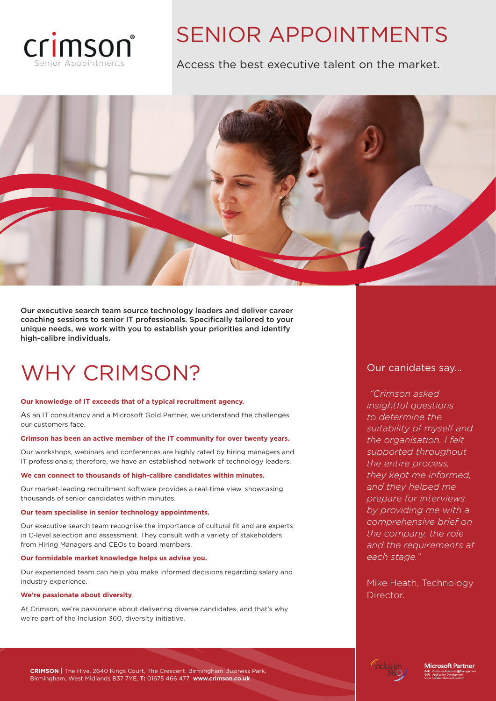

### SENIOR APPOINTMENTS

Access the best executive talent on the market.



Our executive search team source technology leaders and deliver career coaching sessions to senior IT professionals. Specifically tailored to your unique needs, we work with you to establish your priorities and identify high-calibre individuals.

### WHY CRIMSON?

### **Our knowledge of IT exceeds that of a typical recruitment agency.**

As an IT consultancy and a Microsoft Gold Partner, we understand the challenges our customers face.

### **Crimson has been an active member of the IT community for over twenty years.**

Our workshops, webinars and conferences are highly rated by hiring managers and IT professionals; therefore, we have an established network of technology leaders.

### **We can connect to thousands of high-calibre candidates within minutes.**

Our market-leading recruitment software provides a real-time view, showcasing thousands of senior candidates within minutes.

### **Our team specialise in senior technology appointments.**

Our executive search team recognise the importance of cultural fit and are experts in C-level selection and assessment. They consult with a variety of stakeholders from Hiring Managers and CEOs to board members.

### **Our formidable market knowledge helps us advise you.**

Our experienced team can help you make informed decisions regarding salary and industry experience.

### **We're passionate about diversity**.

At Crimson, we're passionate about delivering diverse candidates, and that's why we're part of the Inclusion 360, diversity initiative.

### Our canidates say...

*"Crimson asked insightful questions to determine the suitability of myself and the organisation. I felt supported throughout the entire process, they kept me informed, and they helped me prepare for interviews by providing me with a comprehensive brief on the company, the role and the requirements at each stage."*

Mike Heath, Technology Director.